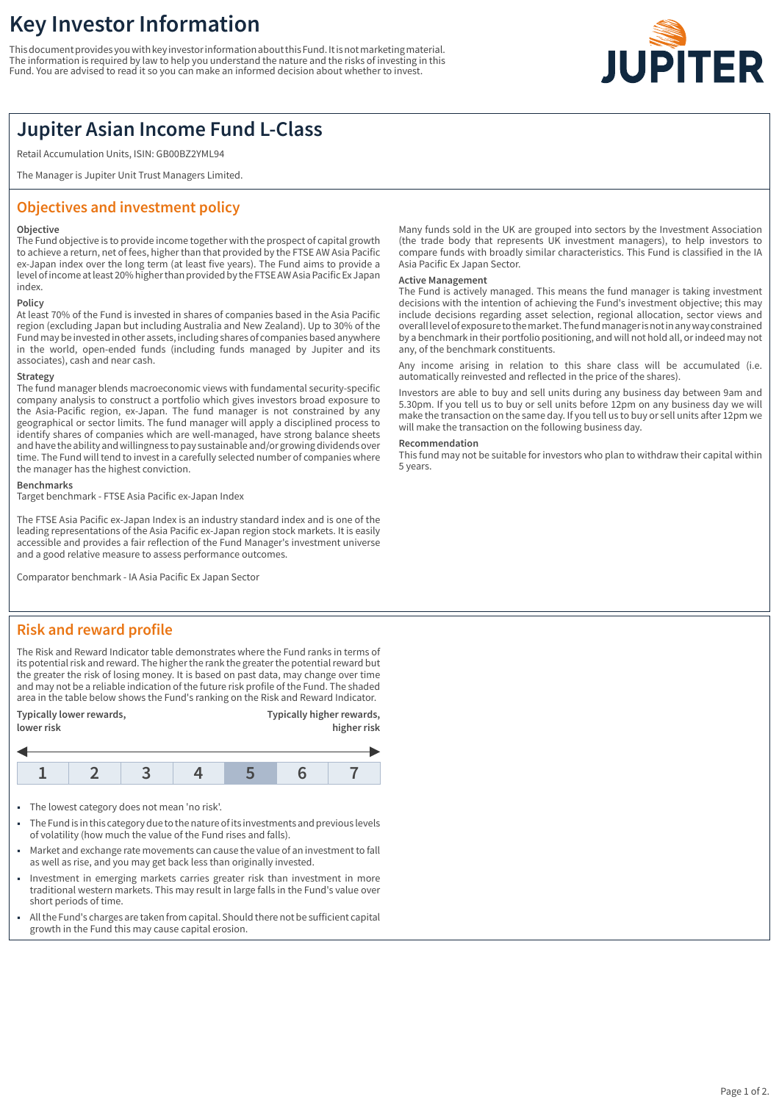# **Key Investor Information**

This document provides you with key investor information about this Fund. It is not marketing material. The information is required by law to help you understand the nature and the risks of investing in this Fund. You are advised to read it so you can make an informed decision about whether to invest.



## **Jupiter Asian Income Fund L-Class**

Retail Accumulation Units, ISIN: GB00BZ2YML94

The Manager is Jupiter Unit Trust Managers Limited.

## **Objectives and investment policy**

#### **Objective**

The Fund objective is to provide income together with the prospect of capital growth to achieve a return, net of fees, higher than that provided by the FTSE AW Asia Pacific ex-Japan index over the long term (at least five years). The Fund aims to provide a level of income at least 20% higher than provided by the FTSE AW Asia Pacific Ex Japan index.

### **Policy**

At least 70% of the Fund is invested in shares of companies based in the Asia Pacific region (excluding Japan but including Australia and New Zealand). Up to 30% of the Fund may be invested in other assets, including shares of companies based anywhere in the world, open-ended funds (including funds managed by Jupiter and its associates), cash and near cash.

#### **Strategy**

The fund manager blends macroeconomic views with fundamental security-specific company analysis to construct a portfolio which gives investors broad exposure to the Asia-Pacific region, ex-Japan. The fund manager is not constrained by any geographical or sector limits. The fund manager will apply a disciplined process to identify shares of companies which are well-managed, have strong balance sheets and have the ability and willingness to pay sustainable and/or growing dividends over time. The Fund will tend to invest in a carefully selected number of companies where the manager has the highest conviction.

#### **Benchmarks**

Target benchmark - FTSE Asia Pacific ex-Japan Index

The FTSE Asia Pacific ex-Japan Index is an industry standard index and is one of the leading representations of the Asia Pacific ex-Japan region stock markets. It is easily accessible and provides a fair reflection of the Fund Manager's investment universe and a good relative measure to assess performance outcomes.

Comparator benchmark - IA Asia Pacific Ex Japan Sector

## **Risk and reward profile**

The Risk and Reward Indicator table demonstrates where the Fund ranks in terms of its potential risk and reward. The higher the rank the greater the potential reward but the greater the risk of losing money. It is based on past data, may change over time and may not be a reliable indication of the future risk profile of the Fund. The shaded area in the table below shows the Fund's ranking on the Risk and Reward Indicator.



- The lowest category does not mean 'no risk'.
- 1 The Fund is in this category due to the nature of its investments and previous levels of volatility (how much the value of the Fund rises and falls).
- Market and exchange rate movements can cause the value of an investment to fall as well as rise, and you may get back less than originally invested.
- Investment in emerging markets carries greater risk than investment in more traditional western markets. This may result in large falls in the Fund's value over short periods of time.
- All the Fund's charges are taken from capital. Should there not be sufficient capital growth in the Fund this may cause capital erosion.

Many funds sold in the UK are grouped into sectors by the Investment Association (the trade body that represents UK investment managers), to help investors to compare funds with broadly similar characteristics. This Fund is classified in the IA Asia Pacific Ex Japan Sector.

#### **Active Management**

The Fund is actively managed. This means the fund manager is taking investment decisions with the intention of achieving the Fund's investment objective; this may include decisions regarding asset selection, regional allocation, sector views and overall level of exposure to the market. The fund manager is not in any way constrained by a benchmark in their portfolio positioning, and will not hold all, or indeed may not any, of the benchmark constituents.

Any income arising in relation to this share class will be accumulated (i.e. automatically reinvested and reflected in the price of the shares).

Investors are able to buy and sell units during any business day between 9am and 5.30pm. If you tell us to buy or sell units before 12pm on any business day we will make the transaction on the same day. If you tell us to buy or sell units after 12pm we will make the transaction on the following business day.

#### **Recommendation**

This fund may not be suitable for investors who plan to withdraw their capital within 5 years.